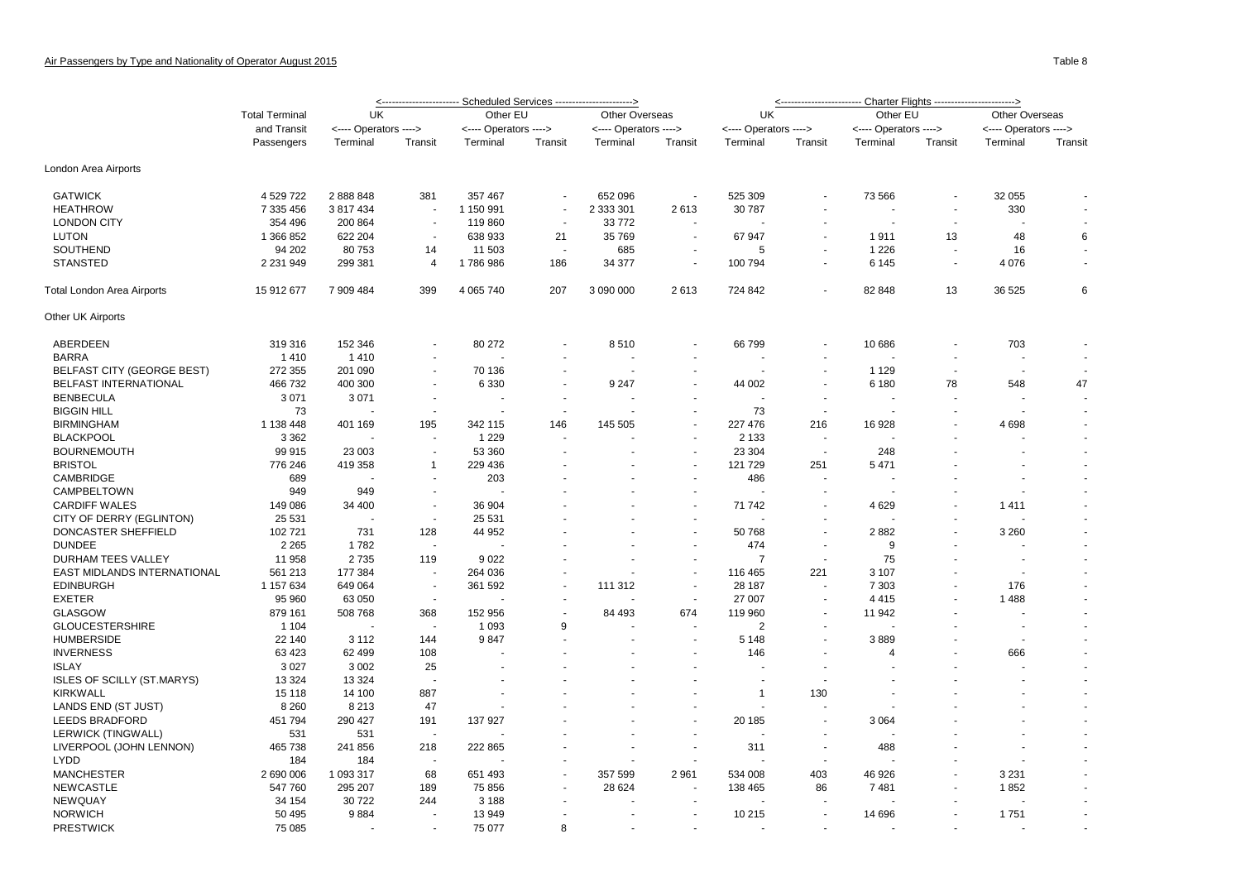|                                   | <b>Total Terminal</b>     | UK                    |                          | Other EU              |                          | Other Overseas        |                          | UK                    |         | Other EU                 |                          | Other Overseas           |                |  |  |
|-----------------------------------|---------------------------|-----------------------|--------------------------|-----------------------|--------------------------|-----------------------|--------------------------|-----------------------|---------|--------------------------|--------------------------|--------------------------|----------------|--|--|
|                                   | and Transit<br>Passengers | <---- Operators ----> |                          | <---- Operators ----> |                          | <---- Operators ----> |                          | <---- Operators ----> |         | <---- Operators ---->    |                          | <---- Operators ---->    |                |  |  |
|                                   |                           | Terminal              | Transit                  | Terminal              | Transit                  | Terminal              | Transit                  | Terminal              | Transit | Terminal                 | Transit                  | Terminal                 | Transit        |  |  |
| London Area Airports              |                           |                       |                          |                       |                          |                       |                          |                       |         |                          |                          |                          |                |  |  |
| <b>GATWICK</b>                    | 4 529 722                 | 2888848               | 381                      | 357 467               | $\overline{\phantom{a}}$ | 652 096               | $\overline{\phantom{a}}$ | 525 309               |         | 73 566                   |                          | 32 055                   |                |  |  |
| <b>HEATHROW</b>                   | 7 335 456                 | 3 817 434             |                          | 1 150 991             | $\overline{\phantom{a}}$ | 2 333 301             | 2613                     | 30 787                |         |                          | $\sim$                   | 330                      |                |  |  |
| <b>LONDON CITY</b>                | 354 496                   | 200 864               |                          | 119860                | $\sim$                   | 33772                 |                          |                       |         |                          |                          |                          |                |  |  |
| <b>LUTON</b>                      | 1 366 852                 | 622 204               | $\overline{\phantom{a}}$ | 638 933               | 21                       | 35 769                | $\blacksquare$           | 67 947                |         | 1911                     | 13                       | 48                       | 6              |  |  |
| SOUTHEND                          | 94 202                    | 80 753                | 14                       | 11 503                | $\sim$                   | 685                   | $\overline{\phantom{a}}$ | 5                     |         | 1 2 2 6                  | $\sim$                   | 16                       |                |  |  |
| <b>STANSTED</b>                   | 2 2 3 1 9 4 9             | 299 381               | $\overline{4}$           | 1786986               | 186                      | 34 377                | $\overline{\phantom{a}}$ | 100 794               |         | 6 1 4 5                  |                          | 4 0 7 6                  |                |  |  |
| Total London Area Airports        | 15 912 677                | 7 909 484             | 399                      | 4 0 65 740            | 207                      | 3 090 000             | 2613                     | 724 842               |         | 82 848                   | 13                       | 36 525                   | 6              |  |  |
| Other UK Airports                 |                           |                       |                          |                       |                          |                       |                          |                       |         |                          |                          |                          |                |  |  |
| ABERDEEN                          | 319 316                   | 152 346               |                          | 80 27 2               |                          | 8510                  | $\overline{\phantom{a}}$ | 66799                 |         | 10 686                   |                          | 703                      |                |  |  |
| <b>BARRA</b>                      | 1410                      | 1410                  | $\blacksquare$           |                       |                          |                       | $\blacksquare$           |                       |         |                          | $\overline{\phantom{a}}$ |                          |                |  |  |
| <b>BELFAST CITY (GEORGE BEST)</b> | 272 355                   | 201 090               | $\overline{a}$           | 70 136                |                          |                       | ÷.                       |                       |         | 1 1 2 9                  | $\sim$                   |                          |                |  |  |
| <b>BELFAST INTERNATIONAL</b>      | 466 732                   | 400 300               |                          | 6 3 3 0               |                          | 9 2 4 7               | $\blacksquare$           | 44 002                |         | 6 180                    | 78                       | 548                      | 47             |  |  |
| <b>BENBECULA</b>                  | 3 0 7 1                   | 3 0 7 1               | $\ddot{\phantom{1}}$     | $\overline{a}$        | $\sim$                   |                       | $\sim$                   | $\overline{a}$        |         | $\overline{\phantom{a}}$ | ÷.                       |                          |                |  |  |
| <b>BIGGIN HILL</b>                | 73                        |                       |                          |                       |                          |                       |                          | 73                    |         |                          |                          |                          |                |  |  |
| <b>BIRMINGHAM</b>                 | 1 138 448                 | 401 169               | 195                      | 342 115               | 146                      | 145 505               | $\sim$                   | 227 476               | 216     | 16 928                   |                          | 4698                     |                |  |  |
| <b>BLACKPOOL</b>                  | 3 3 6 2                   |                       |                          | 1 2 2 9               | $\overline{a}$           |                       | $\sim$                   | 2 1 3 3               |         |                          |                          |                          | $\blacksquare$ |  |  |
| <b>BOURNEMOUTH</b>                | 99 915                    | 23 003                |                          | 53 360                |                          |                       | $\sim$                   | 23 304                |         | 248                      |                          |                          |                |  |  |
| <b>BRISTOL</b>                    | 776 246                   | 419 358               | 1                        | 229 436               |                          |                       | $\tilde{\phantom{a}}$    | 121 729               | 251     | 5471                     |                          |                          |                |  |  |
| CAMBRIDGE                         | 689                       |                       |                          | 203                   |                          |                       | $\sim$                   | 486                   |         |                          |                          |                          |                |  |  |
| CAMPBELTOWN                       | 949                       | 949                   |                          |                       |                          |                       |                          |                       |         |                          |                          |                          |                |  |  |
| <b>CARDIFF WALES</b>              | 149 086                   | 34 400                | $\blacksquare$           | 36 904                |                          |                       | $\overline{\phantom{a}}$ | 71 742                |         | 4629                     |                          | 1411                     |                |  |  |
| CITY OF DERRY (EGLINTON)          | 25 5 31                   |                       | $\overline{a}$           | 25 5 31               |                          |                       | $\sim$                   |                       |         |                          |                          |                          |                |  |  |
| DONCASTER SHEFFIELD               | 102 721                   | 731                   | 128                      | 44 952                |                          |                       | $\overline{\phantom{a}}$ | 50768                 |         | 2882                     |                          | 3 2 6 0                  |                |  |  |
| <b>DUNDEE</b>                     | 2 2 6 5                   | 1782                  | $\overline{\phantom{a}}$ |                       |                          |                       | $\sim$                   | 474                   |         | 9                        |                          |                          | $\blacksquare$ |  |  |
| DURHAM TEES VALLEY                | 11 958                    | 2735                  | 119                      | 9022                  |                          |                       | $\sim$                   | $\overline{7}$        |         | 75                       |                          |                          |                |  |  |
| EAST MIDLANDS INTERNATIONAL       | 561 213                   | 177 384               | $\blacksquare$           | 264 036               | $\ddot{\phantom{1}}$     |                       | $\blacksquare$           | 116 465               | 221     | 3 1 0 7                  |                          | $\overline{\phantom{a}}$ |                |  |  |
| <b>EDINBURGH</b>                  | 1 157 634                 | 649 064               | $\overline{\phantom{a}}$ | 361 592               |                          | 111 312               | $\sim$                   | 28 187                |         | 7 3 0 3                  |                          | 176                      |                |  |  |
| <b>EXETER</b>                     | 95 960                    | 63 050                | $\overline{\phantom{a}}$ |                       | $\overline{a}$           |                       | $\blacksquare$           | 27 007                |         | 4 4 1 5                  |                          | 1 4 8 8                  |                |  |  |
| <b>GLASGOW</b>                    | 879 161                   | 508 768               | 368                      | 152 956               |                          | 84 493                | 674                      | 119 960               |         | 11 942                   |                          |                          |                |  |  |
| <b>GLOUCESTERSHIRE</b>            | 1 1 0 4                   |                       |                          | 1 0 9 3               | 9                        |                       |                          | $\overline{2}$        |         |                          |                          | $\overline{a}$           |                |  |  |
| <b>HUMBERSIDE</b>                 | 22 140                    | 3 1 1 2               | 144                      | 9847                  |                          |                       | $\blacksquare$           | 5 1 4 8               |         | 3889                     |                          |                          |                |  |  |
| <b>INVERNESS</b>                  | 63 423                    | 62 499                | 108                      |                       |                          |                       | $\overline{\phantom{a}}$ | 146                   |         | $\overline{4}$           |                          | 666                      | $\sim$         |  |  |
| <b>ISLAY</b>                      | 3 0 27                    | 3 0 0 2               | 25                       |                       |                          |                       |                          |                       |         |                          |                          |                          |                |  |  |
| <b>ISLES OF SCILLY (ST.MARYS)</b> | 13 3 24                   | 13 3 24               |                          |                       |                          |                       |                          |                       |         |                          |                          |                          |                |  |  |
| <b>KIRKWALL</b>                   | 15 118                    | 14 100                | 887                      |                       |                          |                       |                          | -1                    | 130     |                          |                          |                          |                |  |  |
| LANDS END (ST JUST)               | 8 2 6 0                   | 8 2 1 3               | 47                       |                       |                          |                       |                          |                       |         |                          |                          |                          |                |  |  |
| <b>LEEDS BRADFORD</b>             | 451 794                   | 290 427               | 191                      | 137 927               |                          |                       | $\blacksquare$           | 20 185                |         | 3 0 6 4                  |                          |                          |                |  |  |
| LERWICK (TINGWALL)                | 531                       | 531                   |                          |                       |                          |                       |                          |                       |         |                          |                          |                          |                |  |  |
| LIVERPOOL (JOHN LENNON)           | 465 738                   | 241 856               | 218                      | 222 865               |                          |                       | $\blacksquare$           | 311                   |         | 488                      |                          |                          |                |  |  |
| <b>LYDD</b>                       |                           |                       |                          |                       |                          |                       |                          |                       |         |                          |                          |                          |                |  |  |
| <b>MANCHESTER</b>                 | 184                       | 184                   | 68                       |                       |                          |                       | 2961                     |                       | 403     |                          |                          |                          |                |  |  |
| <b>NEWCASTLE</b>                  | 2 690 006                 | 1 093 317             | 189                      | 651 493<br>75 856     |                          | 357 599               |                          | 534 008               | 86      | 46 926<br>7481           |                          | 3 2 3 1                  |                |  |  |
|                                   | 547 760                   | 295 207               | 244                      |                       |                          | 28 6 24               |                          | 138 465               |         |                          |                          | 1852                     |                |  |  |
| <b>NEWQUAY</b>                    | 34 154                    | 30 722                |                          | 3 1 8 8               |                          |                       |                          |                       |         |                          |                          |                          |                |  |  |
| <b>NORWICH</b>                    | 50 495                    | 9884                  |                          | 13 949                |                          |                       | $\blacksquare$           | 10 215                |         | 14 696                   |                          | 1751                     |                |  |  |
| <b>PRESTWICK</b>                  | 75 085                    |                       | $\sim$                   | 75 077                | 8                        |                       | $\sim$                   |                       |         |                          |                          |                          |                |  |  |